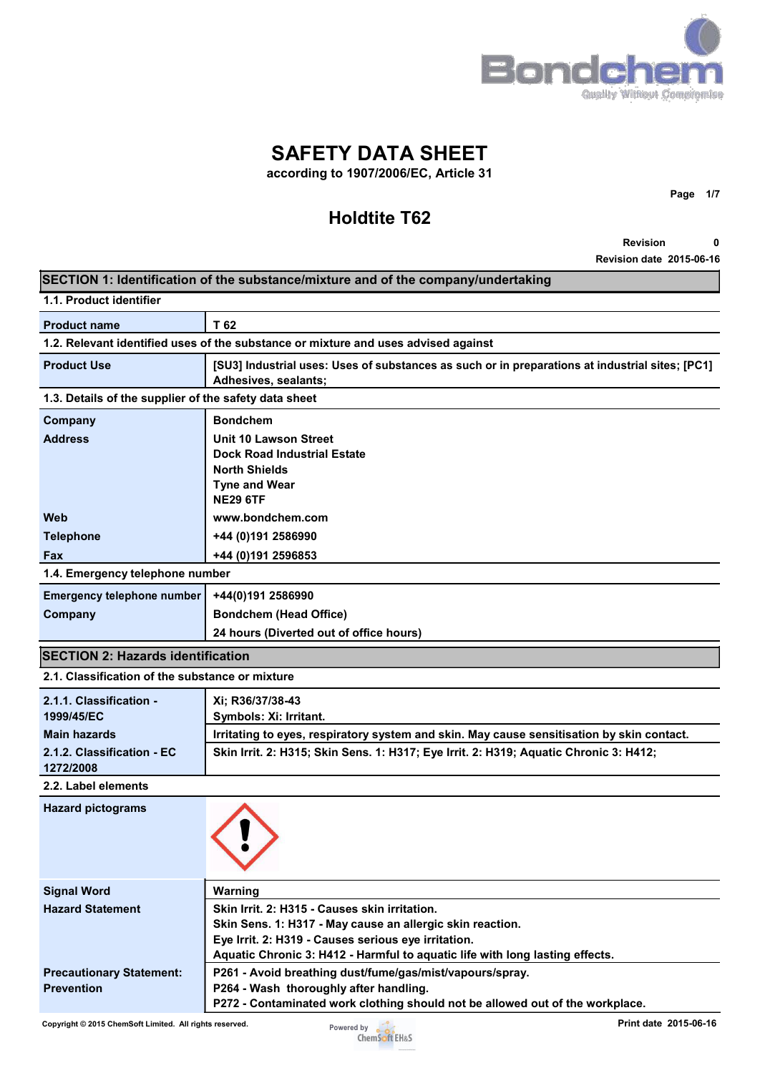

**SAFETY DATA SHEET** 

**according to 1907/2006/EC, Article 31** 

# **Holdtite T62**

**Page 1/7** 

**Revision 0 Revision date 2015-06-16**

| SECTION 1: Identification of the substance/mixture and of the company/undertaking |                                                                                                                                     |  |  |
|-----------------------------------------------------------------------------------|-------------------------------------------------------------------------------------------------------------------------------------|--|--|
| 1.1. Product identifier                                                           |                                                                                                                                     |  |  |
| <b>Product name</b>                                                               | T 62                                                                                                                                |  |  |
|                                                                                   | 1.2. Relevant identified uses of the substance or mixture and uses advised against                                                  |  |  |
| <b>Product Use</b>                                                                | [SU3] Industrial uses: Uses of substances as such or in preparations at industrial sites; [PC1]<br>Adhesives, sealants;             |  |  |
| 1.3. Details of the supplier of the safety data sheet                             |                                                                                                                                     |  |  |
| Company                                                                           | <b>Bondchem</b>                                                                                                                     |  |  |
| <b>Address</b>                                                                    | <b>Unit 10 Lawson Street</b>                                                                                                        |  |  |
|                                                                                   | <b>Dock Road Industrial Estate</b>                                                                                                  |  |  |
|                                                                                   | <b>North Shields</b><br><b>Tyne and Wear</b>                                                                                        |  |  |
|                                                                                   | <b>NE29 6TF</b>                                                                                                                     |  |  |
| Web                                                                               | www.bondchem.com                                                                                                                    |  |  |
| <b>Telephone</b>                                                                  | +44 (0)191 2586990                                                                                                                  |  |  |
| Fax                                                                               | +44 (0) 191 2596853                                                                                                                 |  |  |
| 1.4. Emergency telephone number                                                   |                                                                                                                                     |  |  |
| <b>Emergency telephone number</b>                                                 | +44(0)191 2586990                                                                                                                   |  |  |
| Company                                                                           | <b>Bondchem (Head Office)</b>                                                                                                       |  |  |
|                                                                                   | 24 hours (Diverted out of office hours)                                                                                             |  |  |
| <b>SECTION 2: Hazards identification</b>                                          |                                                                                                                                     |  |  |
| 2.1. Classification of the substance or mixture                                   |                                                                                                                                     |  |  |
| 2.1.1. Classification -                                                           | Xi; R36/37/38-43                                                                                                                    |  |  |
| 1999/45/EC                                                                        | Symbols: Xi: Irritant.                                                                                                              |  |  |
| <b>Main hazards</b>                                                               | Irritating to eyes, respiratory system and skin. May cause sensitisation by skin contact.                                           |  |  |
| 2.1.2. Classification - EC<br>1272/2008                                           | Skin Irrit. 2: H315; Skin Sens. 1: H317; Eye Irrit. 2: H319; Aquatic Chronic 3: H412;                                               |  |  |
| 2.2. Label elements                                                               |                                                                                                                                     |  |  |
| <b>Hazard pictograms</b>                                                          |                                                                                                                                     |  |  |
| <b>Signal Word</b>                                                                | Warning                                                                                                                             |  |  |
| <b>Hazard Statement</b>                                                           | Skin Irrit. 2: H315 - Causes skin irritation.                                                                                       |  |  |
|                                                                                   | Skin Sens. 1: H317 - May cause an allergic skin reaction.                                                                           |  |  |
|                                                                                   | Eye Irrit. 2: H319 - Causes serious eye irritation.<br>Aquatic Chronic 3: H412 - Harmful to aquatic life with long lasting effects. |  |  |
| <b>Precautionary Statement:</b>                                                   | P261 - Avoid breathing dust/fume/gas/mist/vapours/spray.                                                                            |  |  |
| <b>Prevention</b>                                                                 | P264 - Wash thoroughly after handling.                                                                                              |  |  |
|                                                                                   | P272 - Contaminated work clothing should not be allowed out of the workplace.                                                       |  |  |

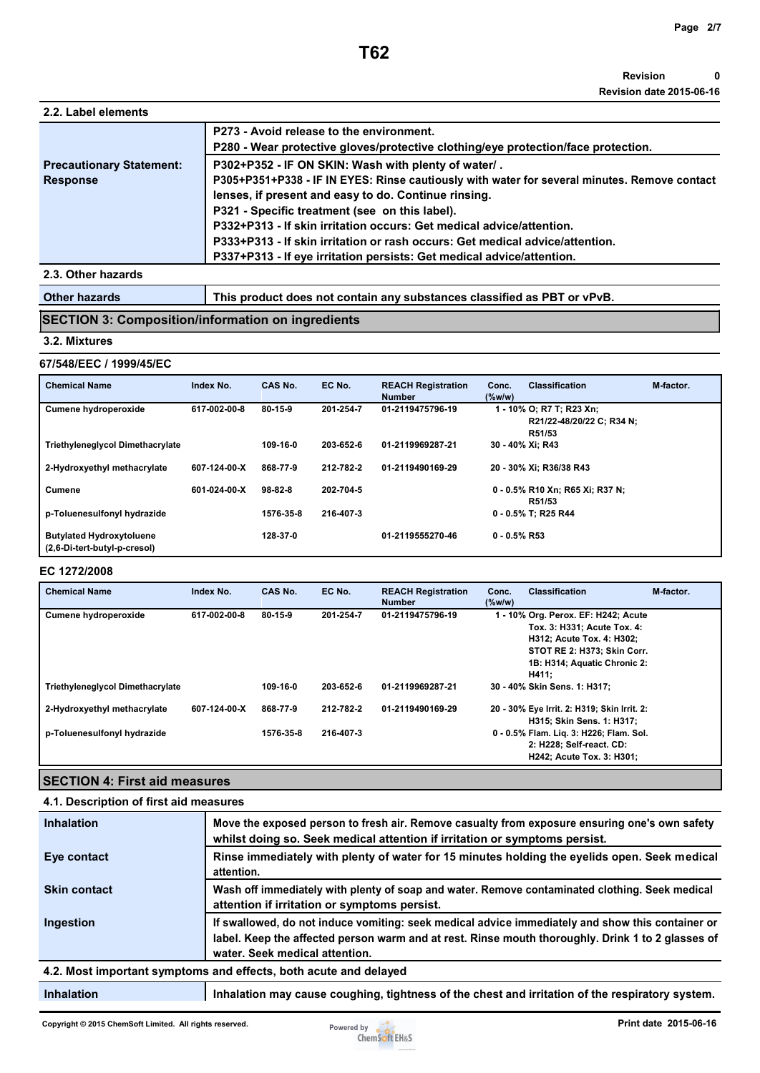| 2.2. Label elements             |                                                                                                                               |
|---------------------------------|-------------------------------------------------------------------------------------------------------------------------------|
|                                 | P273 - Avoid release to the environment.<br>P280 - Wear protective gloves/protective clothing/eye protection/face protection. |
| <b>Precautionary Statement:</b> | P302+P352 - IF ON SKIN: Wash with plenty of water/.                                                                           |
| <b>Response</b>                 | P305+P351+P338 - IF IN EYES: Rinse cautiously with water for several minutes. Remove contact                                  |
|                                 | lenses, if present and easy to do. Continue rinsing.                                                                          |
|                                 | P321 - Specific treatment (see on this label).                                                                                |
|                                 | P332+P313 - If skin irritation occurs: Get medical advice/attention.                                                          |
|                                 | P333+P313 - If skin irritation or rash occurs: Get medical advice/attention.                                                  |
|                                 | P337+P313 - If eye irritation persists: Get medical advice/attention.                                                         |
| 2.3. Othor hazarde              |                                                                                                                               |

#### **2ther ha**

Other hazards **This product does not contain any substances classified as PBT or vPvB.** 

## **SECTION 3: Composition/information on ingredients**

#### **3.2. Mixtures**

#### **67/548/EEC / 1999/45/EC**

| <b>Chemical Name</b>                                            | Index No.    | CAS No.       | EC No.    | <b>REACH Registration</b><br><b>Number</b> | <b>Classification</b><br>M-factor.<br>Conc.<br>$(\%w/w)$        |  |
|-----------------------------------------------------------------|--------------|---------------|-----------|--------------------------------------------|-----------------------------------------------------------------|--|
| <b>Cumene hydroperoxide</b>                                     | 617-002-00-8 | $80 - 15 - 9$ | 201-254-7 | 01-2119475796-19                           | 1 - 10% O; R7 T; R23 Xn;<br>R21/22-48/20/22 C; R34 N;<br>R51/53 |  |
| <b>Triethyleneglycol Dimethacrylate</b>                         |              | 109-16-0      | 203-652-6 | 01-2119969287-21                           | 30 - 40% Xi: R43                                                |  |
| 2-Hydroxyethyl methacrylate                                     | 607-124-00-X | 868-77-9      | 212-782-2 | 01-2119490169-29                           | 20 - 30% Xi: R36/38 R43                                         |  |
| <b>Cumene</b>                                                   | 601-024-00-X | $98-82-8$     | 202-704-5 |                                            | 0 - 0.5% R10 Xn; R65 Xi; R37 N;<br>R51/53                       |  |
| p-Toluenesulfonyl hydrazide                                     |              | 1576-35-8     | 216-407-3 |                                            | 0 - 0.5% T; R25 R44                                             |  |
| <b>Butylated Hydroxytoluene</b><br>(2,6-Di-tert-butyl-p-cresol) |              | 128-37-0      |           | 01-2119555270-46                           | $0 - 0.5\%$ R53                                                 |  |

### **EC 1272/2008**

| <b>Chemical Name</b>                    | Index No.    | CAS No.       | EC No.    | <b>REACH Registration</b><br><b>Number</b> | Conc.<br>$(\%w/w)$ | <b>Classification</b>                                                                                                                                                   | M-factor. |
|-----------------------------------------|--------------|---------------|-----------|--------------------------------------------|--------------------|-------------------------------------------------------------------------------------------------------------------------------------------------------------------------|-----------|
| <b>Cumene hydroperoxide</b>             | 617-002-00-8 | $80 - 15 - 9$ | 201-254-7 | 01-2119475796-19                           |                    | 1 - 10% Org. Perox. EF: H242; Acute<br>Tox. 3: H331; Acute Tox. 4:<br>H312; Acute Tox. 4: H302;<br>STOT RE 2: H373; Skin Corr.<br>1B: H314; Aquatic Chronic 2:<br>H411: |           |
| <b>Triethyleneglycol Dimethacrylate</b> |              | 109-16-0      | 203-652-6 | 01-2119969287-21                           |                    | 30 - 40% Skin Sens. 1: H317:                                                                                                                                            |           |
| 2-Hydroxyethyl methacrylate             | 607-124-00-X | 868-77-9      | 212-782-2 | 01-2119490169-29                           |                    | 20 - 30% Eye Irrit. 2: H319; Skin Irrit. 2:<br>H315; Skin Sens. 1: H317;                                                                                                |           |
| p-Toluenesulfonyl hydrazide             |              | 1576-35-8     | 216-407-3 |                                            |                    | 0 - 0.5% Flam. Lig. 3: H226; Flam. Sol.<br>2: H228; Self-react. CD:<br>H242; Acute Tox. 3: H301;                                                                        |           |

# **SECTION 4: First aid measures**

| 4.1. Description of first aid measures |                                                                                                                                                                                                                                         |  |
|----------------------------------------|-----------------------------------------------------------------------------------------------------------------------------------------------------------------------------------------------------------------------------------------|--|
| <b>Inhalation</b>                      | Move the exposed person to fresh air. Remove casualty from exposure ensuring one's own safety<br>whilst doing so. Seek medical attention if irritation or symptoms persist.                                                             |  |
| Eye contact                            | Rinse immediately with plenty of water for 15 minutes holding the eyelids open. Seek medical<br>attention.                                                                                                                              |  |
| <b>Skin contact</b>                    | Wash off immediately with plenty of soap and water. Remove contaminated clothing. Seek medical<br>attention if irritation or symptoms persist.                                                                                          |  |
| Ingestion                              | If swallowed, do not induce vomiting: seek medical advice immediately and show this container or<br>label. Keep the affected person warm and at rest. Rinse mouth thoroughly. Drink 1 to 2 glasses of<br>water. Seek medical attention. |  |
|                                        | 4.2. Most important symptoms and effects, both acute and delayed                                                                                                                                                                        |  |

# **Inhalation Inhalation may cause coughing, tightness of the chest and irritation of the respiratory system.**

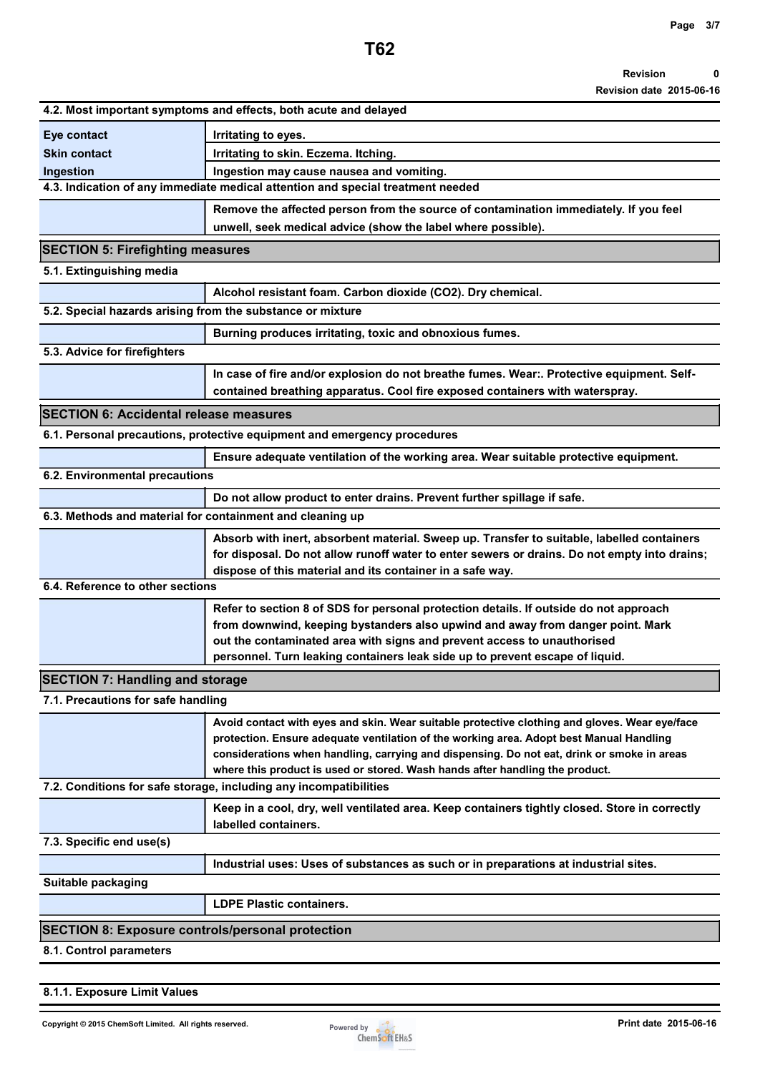**Revision date 2015-06-16**

| 4.2. Most important symptoms and effects, both acute and delayed  |                                                                                                                                                                                                                                                                                                                                                                        |  |  |
|-------------------------------------------------------------------|------------------------------------------------------------------------------------------------------------------------------------------------------------------------------------------------------------------------------------------------------------------------------------------------------------------------------------------------------------------------|--|--|
| Eye contact                                                       | Irritating to eyes.                                                                                                                                                                                                                                                                                                                                                    |  |  |
| <b>Skin contact</b>                                               | Irritating to skin. Eczema. Itching.                                                                                                                                                                                                                                                                                                                                   |  |  |
| Ingestion                                                         | Ingestion may cause nausea and vomiting.                                                                                                                                                                                                                                                                                                                               |  |  |
|                                                                   | 4.3. Indication of any immediate medical attention and special treatment needed                                                                                                                                                                                                                                                                                        |  |  |
|                                                                   | Remove the affected person from the source of contamination immediately. If you feel<br>unwell, seek medical advice (show the label where possible).                                                                                                                                                                                                                   |  |  |
| <b>SECTION 5: Firefighting measures</b>                           |                                                                                                                                                                                                                                                                                                                                                                        |  |  |
| 5.1. Extinguishing media                                          |                                                                                                                                                                                                                                                                                                                                                                        |  |  |
|                                                                   | Alcohol resistant foam. Carbon dioxide (CO2). Dry chemical.                                                                                                                                                                                                                                                                                                            |  |  |
| 5.2. Special hazards arising from the substance or mixture        |                                                                                                                                                                                                                                                                                                                                                                        |  |  |
|                                                                   | Burning produces irritating, toxic and obnoxious fumes.                                                                                                                                                                                                                                                                                                                |  |  |
| 5.3. Advice for firefighters                                      |                                                                                                                                                                                                                                                                                                                                                                        |  |  |
|                                                                   | In case of fire and/or explosion do not breathe fumes. Wear:. Protective equipment. Self-                                                                                                                                                                                                                                                                              |  |  |
|                                                                   | contained breathing apparatus. Cool fire exposed containers with waterspray.                                                                                                                                                                                                                                                                                           |  |  |
| <b>SECTION 6: Accidental release measures</b>                     |                                                                                                                                                                                                                                                                                                                                                                        |  |  |
|                                                                   | 6.1. Personal precautions, protective equipment and emergency procedures                                                                                                                                                                                                                                                                                               |  |  |
|                                                                   | Ensure adequate ventilation of the working area. Wear suitable protective equipment.                                                                                                                                                                                                                                                                                   |  |  |
| 6.2. Environmental precautions                                    |                                                                                                                                                                                                                                                                                                                                                                        |  |  |
|                                                                   | Do not allow product to enter drains. Prevent further spillage if safe.                                                                                                                                                                                                                                                                                                |  |  |
| 6.3. Methods and material for containment and cleaning up         |                                                                                                                                                                                                                                                                                                                                                                        |  |  |
|                                                                   | Absorb with inert, absorbent material. Sweep up. Transfer to suitable, labelled containers<br>for disposal. Do not allow runoff water to enter sewers or drains. Do not empty into drains;<br>dispose of this material and its container in a safe way.                                                                                                                |  |  |
| 6.4. Reference to other sections                                  |                                                                                                                                                                                                                                                                                                                                                                        |  |  |
|                                                                   | Refer to section 8 of SDS for personal protection details. If outside do not approach<br>from downwind, keeping bystanders also upwind and away from danger point. Mark<br>out the contaminated area with signs and prevent access to unauthorised<br>personnel. Turn leaking containers leak side up to prevent escape of liquid.                                     |  |  |
| <b>SECTION 7: Handling and storage</b>                            |                                                                                                                                                                                                                                                                                                                                                                        |  |  |
| 7.1. Precautions for safe handling                                |                                                                                                                                                                                                                                                                                                                                                                        |  |  |
|                                                                   | Avoid contact with eyes and skin. Wear suitable protective clothing and gloves. Wear eye/face<br>protection. Ensure adequate ventilation of the working area. Adopt best Manual Handling<br>considerations when handling, carrying and dispensing. Do not eat, drink or smoke in areas<br>where this product is used or stored. Wash hands after handling the product. |  |  |
| 7.2. Conditions for safe storage, including any incompatibilities |                                                                                                                                                                                                                                                                                                                                                                        |  |  |
|                                                                   | Keep in a cool, dry, well ventilated area. Keep containers tightly closed. Store in correctly<br>labelled containers.                                                                                                                                                                                                                                                  |  |  |
| 7.3. Specific end use(s)                                          |                                                                                                                                                                                                                                                                                                                                                                        |  |  |
|                                                                   | Industrial uses: Uses of substances as such or in preparations at industrial sites.                                                                                                                                                                                                                                                                                    |  |  |
| Suitable packaging                                                |                                                                                                                                                                                                                                                                                                                                                                        |  |  |
|                                                                   | <b>LDPE Plastic containers.</b>                                                                                                                                                                                                                                                                                                                                        |  |  |
| <b>SECTION 8: Exposure controls/personal protection</b>           |                                                                                                                                                                                                                                                                                                                                                                        |  |  |
| 8.1. Control parameters                                           |                                                                                                                                                                                                                                                                                                                                                                        |  |  |

**8.1.1. Exposure Limit Values** 

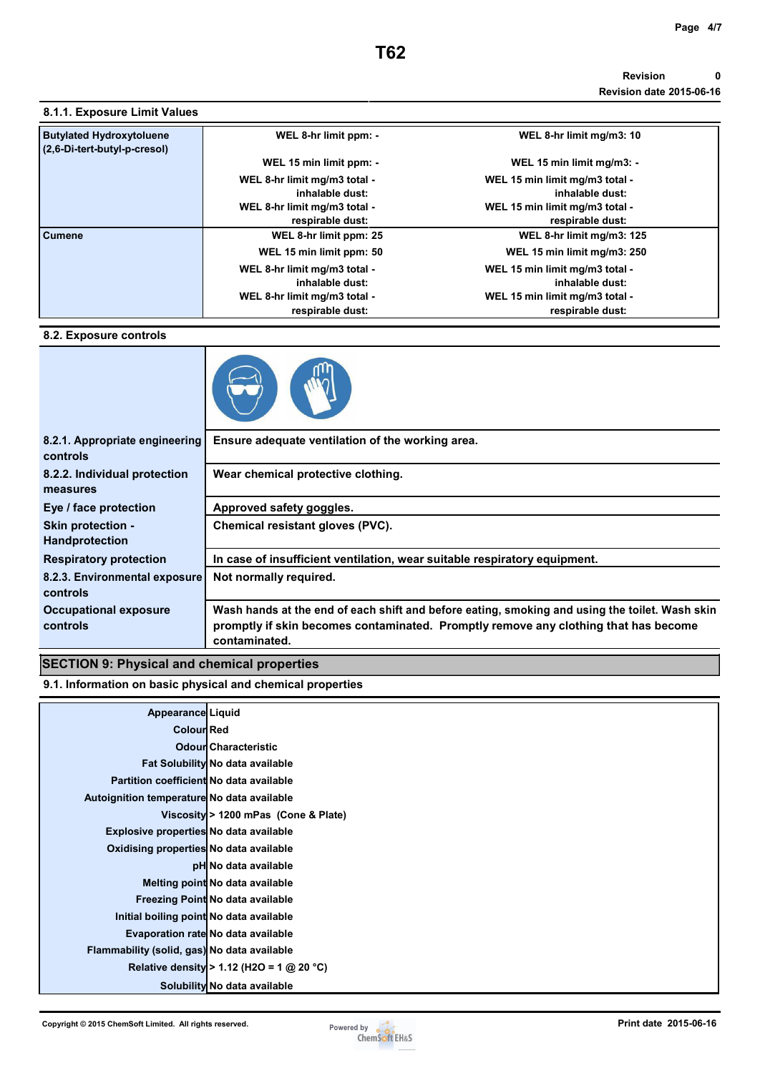### **Revision 0 Revision date 2015-06-16**

| <b>Butylated Hydroxytoluene</b> | WEL 8-hr limit ppm: -        | WEL 8-hr limit mg/m3: 10       |
|---------------------------------|------------------------------|--------------------------------|
| (2,6-Di-tert-butyl-p-cresol)    | WEL 15 min limit ppm: -      | WEL 15 min limit mg/m3: -      |
|                                 |                              |                                |
|                                 | WEL 8-hr limit mg/m3 total - | WEL 15 min limit mg/m3 total - |
|                                 | inhalable dust:              | inhalable dust:                |
|                                 | WEL 8-hr limit mg/m3 total - | WEL 15 min limit mg/m3 total - |
|                                 | respirable dust:             | respirable dust:               |
| <b>Cumene</b>                   | WEL 8-hr limit ppm: 25       | WEL 8-hr limit mg/m3: 125      |
|                                 | WEL 15 min limit ppm: 50     | WEL 15 min limit mg/m3: 250    |
|                                 | WEL 8-hr limit mg/m3 total - | WEL 15 min limit mg/m3 total - |
|                                 | inhalable dust:              | inhalable dust:                |
|                                 | WEL 8-hr limit mg/m3 total - | WEL 15 min limit mg/m3 total - |
|                                 | respirable dust:             | respirable dust:               |

## **8.2. Exposure controls**



| 8.2.1. Appropriate engineering<br>controls        | Ensure adequate ventilation of the working area.                                                                                                                                                       |
|---------------------------------------------------|--------------------------------------------------------------------------------------------------------------------------------------------------------------------------------------------------------|
| 8.2.2. Individual protection<br>measures          | Wear chemical protective clothing.                                                                                                                                                                     |
| Eye / face protection                             | Approved safety goggles.                                                                                                                                                                               |
| <b>Skin protection -</b><br><b>Handprotection</b> | Chemical resistant gloves (PVC).                                                                                                                                                                       |
| <b>Respiratory protection</b>                     | In case of insufficient ventilation, wear suitable respiratory equipment.                                                                                                                              |
| 8.2.3. Environmental exposure<br>controls         | Not normally required.                                                                                                                                                                                 |
| <b>Occupational exposure</b><br>controls          | Wash hands at the end of each shift and before eating, smoking and using the toilet. Wash skin<br>promptly if skin becomes contaminated. Promptly remove any clothing that has become<br>contaminated. |

# **SECTION 9: Physical and chemical properties**

**9.1. Information on basic physical and chemical properties** 

| <b>Appearance Liquid</b>                    |                                           |
|---------------------------------------------|-------------------------------------------|
| <b>Colour Red</b>                           |                                           |
|                                             | <b>Odour Characteristic</b>               |
|                                             | Fat Solubility No data available          |
| Partition coefficient No data available     |                                           |
| Autoignition temperature No data available  |                                           |
|                                             | Viscosity > 1200 mPas (Cone & Plate)      |
| Explosive properties No data available      |                                           |
| Oxidising properties No data available      |                                           |
|                                             | pH No data available                      |
|                                             | Melting point No data available           |
|                                             | Freezing Point No data available          |
| Initial boiling point No data available     |                                           |
|                                             | Evaporation rate No data available        |
| Flammability (solid, gas) No data available |                                           |
|                                             | Relative density > 1.12 (H2O = 1 @ 20 °C) |
|                                             | Solubility No data available              |
|                                             |                                           |

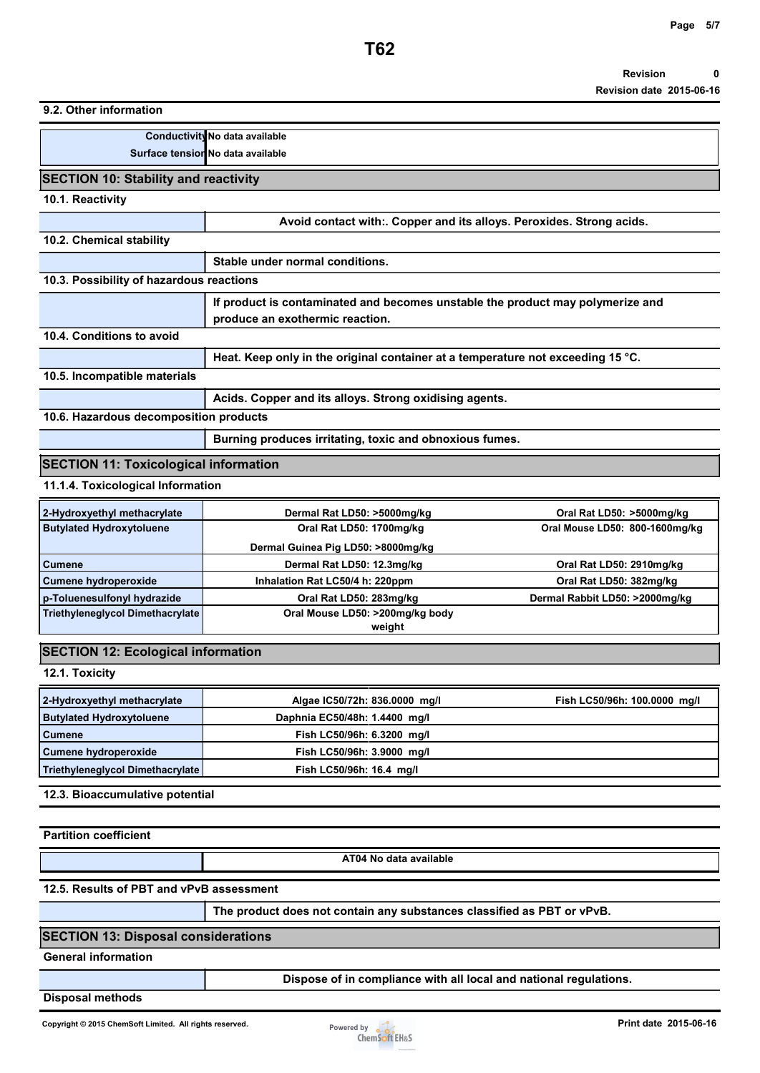**9.2. Other information** 

| Conductivity No data available    |
|-----------------------------------|
| Surface tension No data available |

## **SECTION 10: Stability and reactivity**

**10.1. Reactivity** 

|                                              | Avoid contact with: Copper and its alloys. Peroxides. Strong acids.                       |  |  |
|----------------------------------------------|-------------------------------------------------------------------------------------------|--|--|
| 10.2. Chemical stability                     |                                                                                           |  |  |
|                                              | Stable under normal conditions.                                                           |  |  |
| 10.3. Possibility of hazardous reactions     |                                                                                           |  |  |
|                                              | If product is contaminated and becomes unstable the product may polymerize and            |  |  |
|                                              | produce an exothermic reaction.                                                           |  |  |
| 10.4. Conditions to avoid                    |                                                                                           |  |  |
|                                              | Heat. Keep only in the original container at a temperature not exceeding 15 $^{\circ}$ C. |  |  |
| 10.5. Incompatible materials                 |                                                                                           |  |  |
|                                              | Acids. Copper and its alloys. Strong oxidising agents.                                    |  |  |
| 10.6. Hazardous decomposition products       |                                                                                           |  |  |
|                                              | Burning produces irritating, toxic and obnoxious fumes.                                   |  |  |
| <b>SECTION 11: Toxicological information</b> |                                                                                           |  |  |

**11.1.4. Toxicological Information** 

| 2-Hydroxyethyl methacrylate             | Dermal Rat LD50: >5000mg/kg        | Oral Rat LD50: >5000mg/kg      |
|-----------------------------------------|------------------------------------|--------------------------------|
| <b>Butylated Hydroxytoluene</b>         | Oral Rat LD50: 1700mg/kg           | Oral Mouse LD50: 800-1600mg/kg |
|                                         | Dermal Guinea Pig LD50: >8000mg/kg |                                |
| <b>Cumene</b>                           | Dermal Rat LD50: 12.3mg/kg         | Oral Rat LD50: 2910mg/kg       |
| Cumene hydroperoxide                    | Inhalation Rat LC50/4 h: 220ppm    | Oral Rat LD50: 382mg/kg        |
| p-Toluenesulfonyl hydrazide             | Oral Rat LD50: 283mg/kg            | Dermal Rabbit LD50: >2000mg/kg |
| <b>Triethyleneglycol Dimethacrylate</b> | Oral Mouse LD50: >200mg/kg body    |                                |
|                                         | weight                             |                                |

# **SECTION 12: Ecological information**

**12.1. Toxicity** 

| 2-Hydroxyethyl methacrylate      | Algae IC50/72h: 836.0000 mg/l | Fish LC50/96h: 100.0000 mg/l |
|----------------------------------|-------------------------------|------------------------------|
| <b>Butylated Hydroxytoluene</b>  | Daphnia EC50/48h: 1.4400 mg/l |                              |
| <b>Cumene</b>                    | Fish LC50/96h: 6.3200 mg/l    |                              |
| Cumene hydroperoxide             | Fish LC50/96h: 3.9000 mg/l    |                              |
| Triethyleneglycol Dimethacrylate | Fish LC50/96h: 16.4 mg/l      |                              |

**12.3. Bioaccumulative potential** 

**Partition coefficient** 

**AT04 No data available** 

**12.5. Results of PBT and vPvB assessment** 

**The product does not contain any substances classified as PBT or vPvB.** 

### **SECTION 13: Disposal considerations**

**General information** 

**Dispose of in compliance with all local and national regulations.** 

**Disposal methods** 

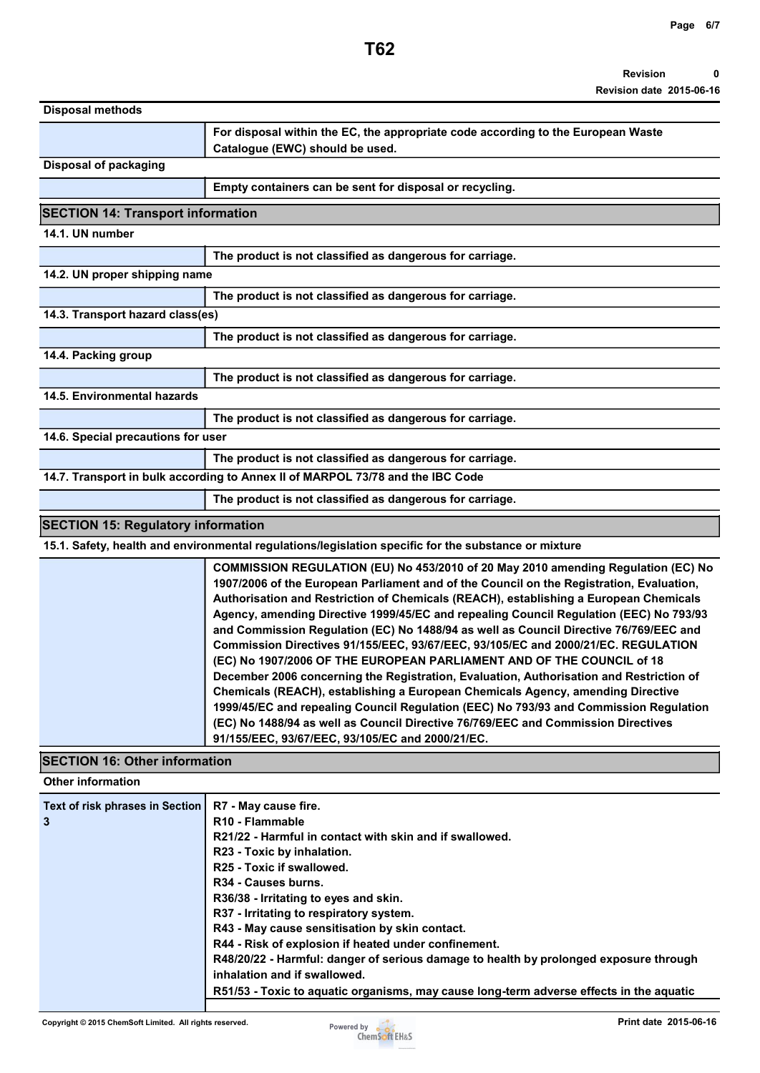| For disposal within the EC, the appropriate code according to the European Waste<br>Catalogue (EWC) should be used.                                                                                                                                                                                                                                                                                                                                                                                                                                                                                                                                                                                                                                                                                                                                                                                                                                                                                                                     |
|-----------------------------------------------------------------------------------------------------------------------------------------------------------------------------------------------------------------------------------------------------------------------------------------------------------------------------------------------------------------------------------------------------------------------------------------------------------------------------------------------------------------------------------------------------------------------------------------------------------------------------------------------------------------------------------------------------------------------------------------------------------------------------------------------------------------------------------------------------------------------------------------------------------------------------------------------------------------------------------------------------------------------------------------|
|                                                                                                                                                                                                                                                                                                                                                                                                                                                                                                                                                                                                                                                                                                                                                                                                                                                                                                                                                                                                                                         |
| Empty containers can be sent for disposal or recycling.                                                                                                                                                                                                                                                                                                                                                                                                                                                                                                                                                                                                                                                                                                                                                                                                                                                                                                                                                                                 |
| <b>SECTION 14: Transport information</b>                                                                                                                                                                                                                                                                                                                                                                                                                                                                                                                                                                                                                                                                                                                                                                                                                                                                                                                                                                                                |
|                                                                                                                                                                                                                                                                                                                                                                                                                                                                                                                                                                                                                                                                                                                                                                                                                                                                                                                                                                                                                                         |
| The product is not classified as dangerous for carriage.                                                                                                                                                                                                                                                                                                                                                                                                                                                                                                                                                                                                                                                                                                                                                                                                                                                                                                                                                                                |
| 14.2. UN proper shipping name                                                                                                                                                                                                                                                                                                                                                                                                                                                                                                                                                                                                                                                                                                                                                                                                                                                                                                                                                                                                           |
| The product is not classified as dangerous for carriage.                                                                                                                                                                                                                                                                                                                                                                                                                                                                                                                                                                                                                                                                                                                                                                                                                                                                                                                                                                                |
| 14.3. Transport hazard class(es)                                                                                                                                                                                                                                                                                                                                                                                                                                                                                                                                                                                                                                                                                                                                                                                                                                                                                                                                                                                                        |
| The product is not classified as dangerous for carriage.                                                                                                                                                                                                                                                                                                                                                                                                                                                                                                                                                                                                                                                                                                                                                                                                                                                                                                                                                                                |
|                                                                                                                                                                                                                                                                                                                                                                                                                                                                                                                                                                                                                                                                                                                                                                                                                                                                                                                                                                                                                                         |
| The product is not classified as dangerous for carriage.                                                                                                                                                                                                                                                                                                                                                                                                                                                                                                                                                                                                                                                                                                                                                                                                                                                                                                                                                                                |
|                                                                                                                                                                                                                                                                                                                                                                                                                                                                                                                                                                                                                                                                                                                                                                                                                                                                                                                                                                                                                                         |
| The product is not classified as dangerous for carriage.                                                                                                                                                                                                                                                                                                                                                                                                                                                                                                                                                                                                                                                                                                                                                                                                                                                                                                                                                                                |
| 14.6. Special precautions for user                                                                                                                                                                                                                                                                                                                                                                                                                                                                                                                                                                                                                                                                                                                                                                                                                                                                                                                                                                                                      |
| The product is not classified as dangerous for carriage.                                                                                                                                                                                                                                                                                                                                                                                                                                                                                                                                                                                                                                                                                                                                                                                                                                                                                                                                                                                |
| 14.7. Transport in bulk according to Annex II of MARPOL 73/78 and the IBC Code                                                                                                                                                                                                                                                                                                                                                                                                                                                                                                                                                                                                                                                                                                                                                                                                                                                                                                                                                          |
|                                                                                                                                                                                                                                                                                                                                                                                                                                                                                                                                                                                                                                                                                                                                                                                                                                                                                                                                                                                                                                         |
| The product is not classified as dangerous for carriage.                                                                                                                                                                                                                                                                                                                                                                                                                                                                                                                                                                                                                                                                                                                                                                                                                                                                                                                                                                                |
| <b>SECTION 15: Regulatory information</b>                                                                                                                                                                                                                                                                                                                                                                                                                                                                                                                                                                                                                                                                                                                                                                                                                                                                                                                                                                                               |
| 15.1. Safety, health and environmental regulations/legislation specific for the substance or mixture                                                                                                                                                                                                                                                                                                                                                                                                                                                                                                                                                                                                                                                                                                                                                                                                                                                                                                                                    |
| COMMISSION REGULATION (EU) No 453/2010 of 20 May 2010 amending Regulation (EC) No<br>1907/2006 of the European Parliament and of the Council on the Registration, Evaluation,<br>Authorisation and Restriction of Chemicals (REACH), establishing a European Chemicals<br>Agency, amending Directive 1999/45/EC and repealing Council Regulation (EEC) No 793/93<br>and Commission Regulation (EC) No 1488/94 as well as Council Directive 76/769/EEC and<br>Commission Directives 91/155/EEC, 93/67/EEC, 93/105/EC and 2000/21/EC. REGULATION<br>(EC) No 1907/2006 OF THE EUROPEAN PARLIAMENT AND OF THE COUNCIL of 18<br>December 2006 concerning the Registration, Evaluation, Authorisation and Restriction of<br>Chemicals (REACH), establishing a European Chemicals Agency, amending Directive<br>1999/45/EC and repealing Council Regulation (EEC) No 793/93 and Commission Regulation<br>(EC) No 1488/94 as well as Council Directive 76/769/EEC and Commission Directives<br>91/155/EEC, 93/67/EEC, 93/105/EC and 2000/21/EC. |
| <b>SECTION 16: Other information</b>                                                                                                                                                                                                                                                                                                                                                                                                                                                                                                                                                                                                                                                                                                                                                                                                                                                                                                                                                                                                    |
|                                                                                                                                                                                                                                                                                                                                                                                                                                                                                                                                                                                                                                                                                                                                                                                                                                                                                                                                                                                                                                         |
| R7 - May cause fire.<br>R10 - Flammable<br>R21/22 - Harmful in contact with skin and if swallowed.<br>R23 - Toxic by inhalation.<br>R25 - Toxic if swallowed.<br>R34 - Causes burns.<br>R36/38 - Irritating to eyes and skin.<br>R37 - Irritating to respiratory system.<br>R43 - May cause sensitisation by skin contact.<br>R44 - Risk of explosion if heated under confinement.<br>R48/20/22 - Harmful: danger of serious damage to health by prolonged exposure through<br>inhalation and if swallowed.<br>R51/53 - Toxic to aquatic organisms, may cause long-term adverse effects in the aquatic                                                                                                                                                                                                                                                                                                                                                                                                                                  |
|                                                                                                                                                                                                                                                                                                                                                                                                                                                                                                                                                                                                                                                                                                                                                                                                                                                                                                                                                                                                                                         |